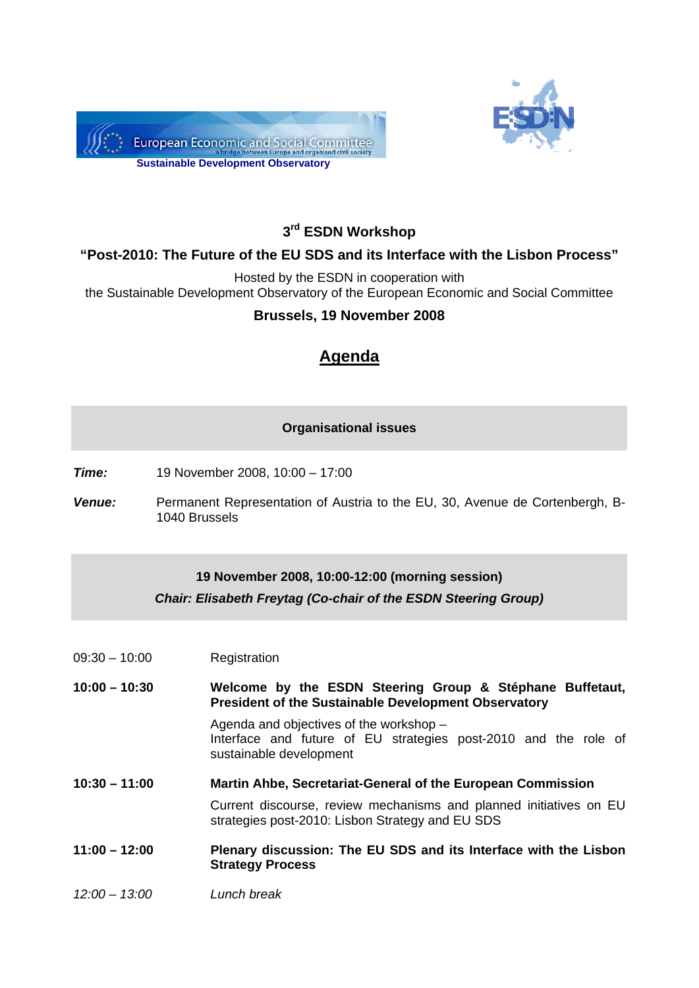



## **3rd ESDN Workshop**

## **"Post-2010: The Future of the EU SDS and its Interface with the Lisbon Process"**

Hosted by the ESDN in cooperation with

the Sustainable Development Observatory of the European Economic and Social Committee

#### **Brussels, 19 November 2008**

# **Agenda**

#### **Organisational issues**

*Time:* 19 November 2008, 10:00 – 17:00

*Venue:* Permanent Representation of Austria to the EU, 30, Avenue de Cortenbergh, B-1040 Brussels

#### **19 November 2008, 10:00-12:00 (morning session)**  *Chair: Elisabeth Freytag (Co-chair of the ESDN Steering Group)*

09:30 – 10:00 Registration

#### **10:00 – 10:30 Welcome by the ESDN Steering Group & Stéphane Buffetaut, President of the Sustainable Development Observatory**

Agenda and objectives of the workshop – Interface and future of EU strategies post-2010 and the role of sustainable development

**10:30 – 11:00 Martin Ahbe, Secretariat-General of the European Commission** 

Current discourse, review mechanisms and planned initiatives on EU strategies post-2010: Lisbon Strategy and EU SDS

#### **11:00 – 12:00 Plenary discussion: The EU SDS and its Interface with the Lisbon Strategy Process**

*12:00 – 13:00 Lunch break*